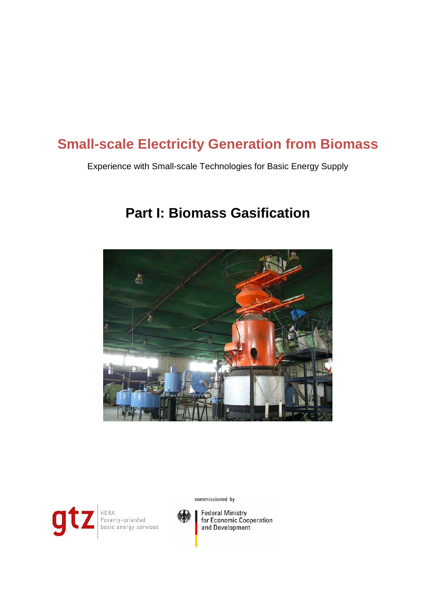# **Small-scale Electricity Generation from Biomass**

Experience with Small-scale Technologies for Basic Energy Supply

# **Part I: Biomass Gasification**





HERA<br>Poverty-oriented<br>basic energy services



**Federal Ministry** for Economic Cooperation and Development

commissioned by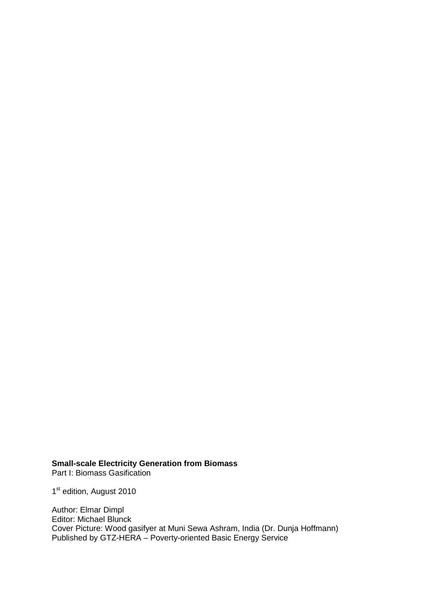**Small-scale Electricity Generation from Biomass** Part I: Biomass Gasification

1st edition, August 2010

Author: Elmar Dimpl Editor: Michael Blunck Cover Picture: Wood gasifyer at Muni Sewa Ashram, India (Dr. Dunja Hoffmann) Published by GTZ-HERA – Poverty-oriented Basic Energy Service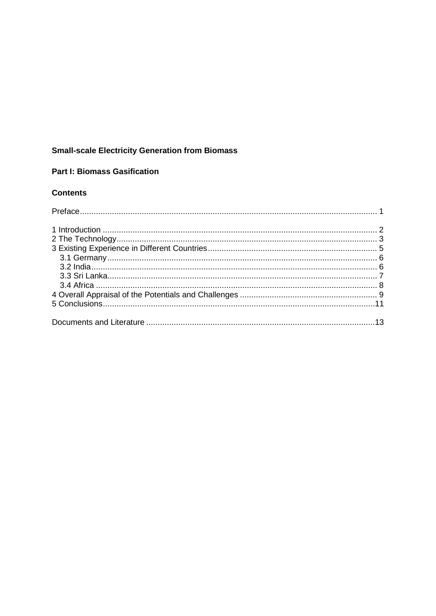## **Small-scale Electricity Generation from Biomass**

#### **Part I: Biomass Gasification**

#### **Contents**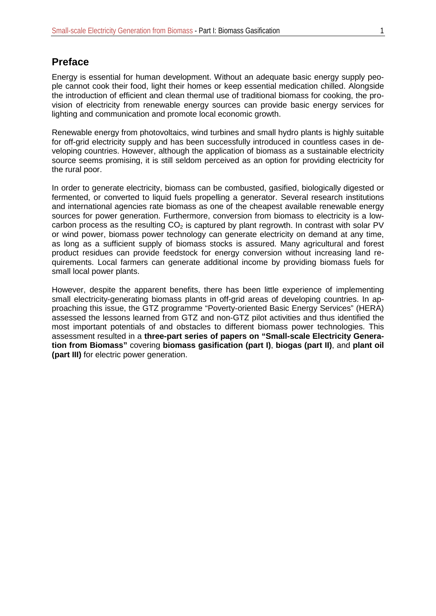#### <span id="page-6-0"></span>**Preface**

Energy is essential for human development. Without an adequate basic energy supply people cannot cook their food, light their homes or keep essential medication chilled. Alongside the introduction of efficient and clean thermal use of traditional biomass for cooking, the provision of electricity from renewable energy sources can provide basic energy services for lighting and communication and promote local economic growth.

Renewable energy from photovoltaics, wind turbines and small hydro plants is highly suitable for off-grid electricity supply and has been successfully introduced in countless cases in developing countries. However, although the application of biomass as a sustainable electricity source seems promising, it is still seldom perceived as an option for providing electricity for the rural poor.

In order to generate electricity, biomass can be combusted, gasified, biologically digested or fermented, or converted to liquid fuels propelling a generator. Several research institutions and international agencies rate biomass as one of the cheapest available renewable energy sources for power generation. Furthermore, conversion from biomass to electricity is a lowcarbon process as the resulting  $CO<sub>2</sub>$  is captured by plant regrowth. In contrast with solar PV or wind power, biomass power technology can generate electricity on demand at any time, as long as a sufficient supply of biomass stocks is assured. Many agricultural and forest product residues can provide feedstock for energy conversion without increasing land requirements. Local farmers can generate additional income by providing biomass fuels for small local power plants.

However, despite the apparent benefits, there has been little experience of implementing small electricity-generating biomass plants in off-grid areas of developing countries. In approaching this issue, the GTZ programme "Poverty-oriented Basic Energy Services" (HERA) assessed the lessons learned from GTZ and non-GTZ pilot activities and thus identified the most important potentials of and obstacles to different biomass power technologies. This assessment resulted in a **three-part series of papers on "Small-scale Electricity Generation from Biomass"** covering **biomass gasification (part I)**, **biogas (part II)**, and **plant oil (part III)** for electric power generation.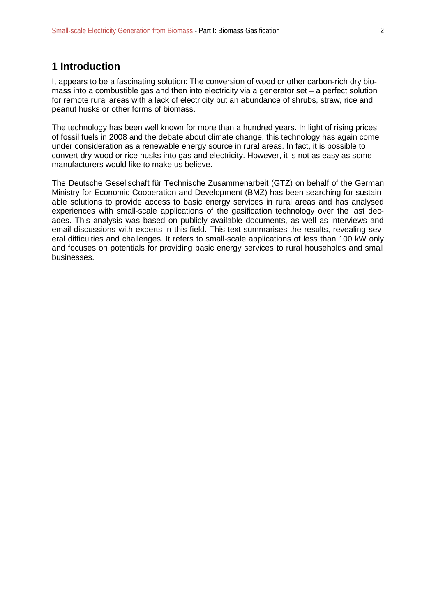#### <span id="page-7-0"></span>**1 Introduction**

It appears to be a fascinating solution: The conversion of wood or other carbon-rich dry biomass into a combustible gas and then into electricity via a generator set – a perfect solution for remote rural areas with a lack of electricity but an abundance of shrubs, straw, rice and peanut husks or other forms of biomass.

The technology has been well known for more than a hundred years. In light of rising prices of fossil fuels in 2008 and the debate about climate change, this technology has again come under consideration as a renewable energy source in rural areas. In fact, it is possible to convert dry wood or rice husks into gas and electricity. However, it is not as easy as some manufacturers would like to make us believe.

The Deutsche Gesellschaft für Technische Zusammenarbeit (GTZ) on behalf of the German Ministry for Economic Cooperation and Development (BMZ) has been searching for sustainable solutions to provide access to basic energy services in rural areas and has analysed experiences with small-scale applications of the gasification technology over the last decades. This analysis was based on publicly available documents, as well as interviews and email discussions with experts in this field. This text summarises the results, revealing several difficulties and challenges. It refers to small-scale applications of less than 100 kW only and focuses on potentials for providing basic energy services to rural households and small businesses.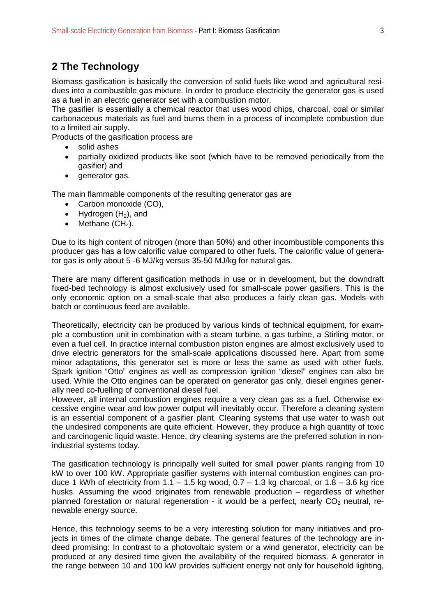### <span id="page-8-0"></span>**2 The Technology**

Biomass gasification is basically the conversion of solid fuels like wood and agricultural residues into a combustible gas mixture. In order to produce electricity the generator gas is used as a fuel in an electric generator set with a combustion motor.

The gasifier is essentially a chemical reactor that uses wood chips, charcoal, coal or similar carbonaceous materials as fuel and burns them in a process of incomplete combustion due to a limited air supply.

Products of the gasification process are

- solid ashes
- partially oxidized products like soot (which have to be removed periodically from the gasifier) and
- generator gas.

The main flammable components of the resulting generator gas are

- Carbon monoxide (CO),
- Hydrogen  $(H_2)$ , and
- Methane  $(CH_4)$ .

Due to its high content of nitrogen (more than 50%) and other incombustible components this producer gas has a low calorific value compared to other fuels. The calorific value of generator gas is only about 5 -6 MJ/kg versus 35-50 MJ/kg for natural gas.

There are many different gasification methods in use or in development, but the downdraft fixed-bed technology is almost exclusively used for small-scale power gasifiers. This is the only economic option on a small-scale that also produces a fairly clean gas. Models with batch or continuous feed are available.

Theoretically, electricity can be produced by various kinds of technical equipment, for example a combustion unit in combination with a steam turbine, a gas turbine, a Stirling motor, or even a fuel cell. In practice internal combustion piston engines are almost exclusively used to drive electric generators for the small-scale applications discussed here. Apart from some minor adaptations, this generator set is more or less the same as used with other fuels. Spark ignition "Otto" engines as well as compression ignition "diesel" engines can also be used. While the Otto engines can be operated on generator gas only, diesel engines generally need co-fuelling of conventional diesel fuel.

However, all internal combustion engines require a very clean gas as a fuel. Otherwise excessive engine wear and low power output will inevitably occur. Therefore a cleaning system is an essential component of a gasifier plant. Cleaning systems that use water to wash out the undesired components are quite efficient. However, they produce a high quantity of toxic and carcinogenic liquid waste. Hence, dry cleaning systems are the preferred solution in nonindustrial systems today.

The gasification technology is principally well suited for small power plants ranging from 10 kW to over 100 kW. Appropriate gasifier systems with internal combustion engines can produce 1 kWh of electricity from  $1.1 - 1.5$  kg wood,  $0.7 - 1.3$  kg charcoal, or  $1.8 - 3.6$  kg rice husks. Assuming the wood originates from renewable production – regardless of whether planned forestation or natural regeneration - it would be a perfect, nearly  $CO<sub>2</sub>$  neutral, renewable energy source.

Hence, this technology seems to be a very interesting solution for many initiatives and projects in times of the climate change debate. The general features of the technology are indeed promising: In contrast to a photovoltaic system or a wind generator, electricity can be produced at any desired time given the availability of the required biomass. A generator in the range between 10 and 100 kW provides sufficient energy not only for household lighting,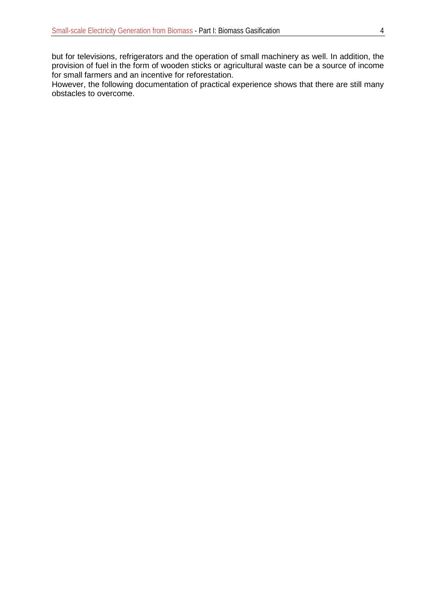but for televisions, refrigerators and the operation of small machinery as well. In addition, the provision of fuel in the form of wooden sticks or agricultural waste can be a source of income for small farmers and an incentive for reforestation.

However, the following documentation of practical experience shows that there are still many obstacles to overcome.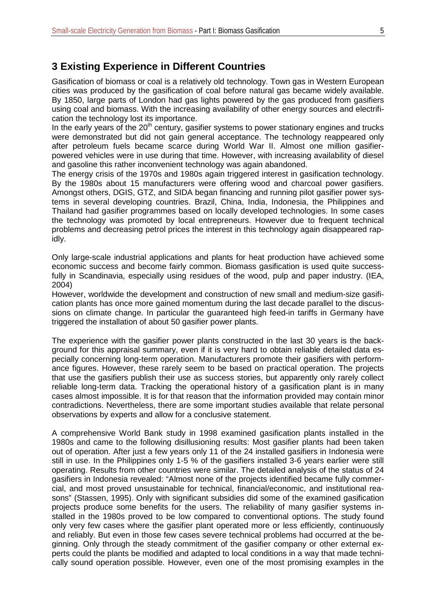#### <span id="page-10-0"></span>**3 Existing Experience in Different Countries**

Gasification of biomass or coal is a relatively old technology. Town gas in Western European cities was produced by the gasification of coal before natural gas became widely available. By 1850, large parts of London had gas lights powered by the gas produced from gasifiers using coal and biomass. With the increasing availability of other energy sources and electrification the technology lost its importance.

In the early years of the  $20<sup>th</sup>$  century, gasifier systems to power stationary engines and trucks were demonstrated but did not gain general acceptance. The technology reappeared only after petroleum fuels became scarce during World War II. Almost one million gasifierpowered vehicles were in use during that time. However, with increasing availability of diesel and gasoline this rather inconvenient technology was again abandoned.

The energy crisis of the 1970s and 1980s again triggered interest in gasification technology. By the 1980s about 15 manufacturers were offering wood and charcoal power gasifiers. Amongst others, DGIS, GTZ, and SIDA began financing and running pilot gasifier power systems in several developing countries. Brazil, China, India, Indonesia, the Philippines and Thailand had gasifier programmes based on locally developed technologies. In some cases the technology was promoted by local entrepreneurs. However due to frequent technical problems and decreasing petrol prices the interest in this technology again disappeared rapidly.

Only large-scale industrial applications and plants for heat production have achieved some economic success and become fairly common. Biomass gasification is used quite successfully in Scandinavia, especially using residues of the wood, pulp and paper industry. (IEA, 2004)

However, worldwide the development and construction of new small and medium-size gasification plants has once more gained momentum during the last decade parallel to the discussions on climate change. In particular the guaranteed high feed-in tariffs in Germany have triggered the installation of about 50 gasifier power plants.

The experience with the gasifier power plants constructed in the last 30 years is the background for this appraisal summary, even if it is very hard to obtain reliable detailed data especially concerning long-term operation. Manufacturers promote their gasifiers with performance figures. However, these rarely seem to be based on practical operation. The projects that use the gasifiers publish their use as success stories, but apparently only rarely collect reliable long-term data. Tracking the operational history of a gasification plant is in many cases almost impossible. It is for that reason that the information provided may contain minor contradictions. Nevertheless, there are some important studies available that relate personal observations by experts and allow for a conclusive statement.

A comprehensive World Bank study in 1998 examined gasification plants installed in the 1980s and came to the following disillusioning results: Most gasifier plants had been taken out of operation. After just a few years only 11 of the 24 installed gasifiers in Indonesia were still in use. In the Philippines only 1-5 % of the gasifiers installed 3-6 years earlier were still operating. Results from other countries were similar. The detailed analysis of the status of 24 gasifiers in Indonesia revealed: "Almost none of the projects identified became fully commercial, and most proved unsustainable for technical, financial/economic, and institutional reasons" (Stassen, 1995). Only with significant subsidies did some of the examined gasification projects produce some benefits for the users. The reliability of many gasifier systems installed in the 1980s proved to be low compared to conventional options. The study found only very few cases where the gasifier plant operated more or less efficiently, continuously and reliably. But even in those few cases severe technical problems had occurred at the beginning. Only through the steady commitment of the gasifier company or other external experts could the plants be modified and adapted to local conditions in a way that made technically sound operation possible. However, even one of the most promising examples in the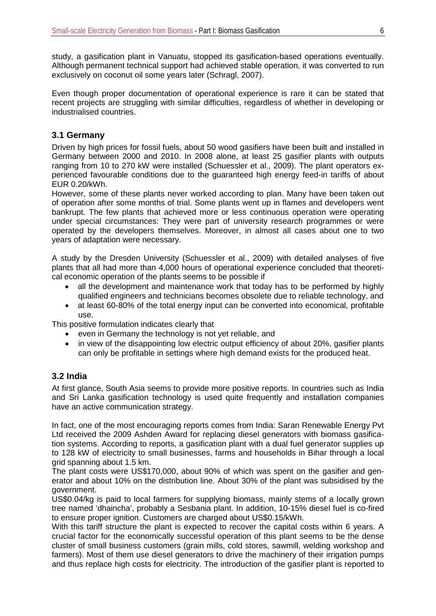study, a gasification plant in Vanuatu, stopped its gasification-based operations eventually. Although permanent technical support had achieved stable operation, it was converted to run exclusively on coconut oil some years later (Schragl, 2007).

Even though proper documentation of operational experience is rare it can be stated that recent projects are struggling with similar difficulties, regardless of whether in developing or industrialised countries.

#### <span id="page-11-0"></span>**3.1 Germany**

Driven by high prices for fossil fuels, about 50 wood gasifiers have been built and installed in Germany between 2000 and 2010. In 2008 alone, at least 25 gasifier plants with outputs ranging from 10 to 270 kW were installed (Schuessler et al., 2009). The plant operators experienced favourable conditions due to the guaranteed high energy feed-in tariffs of about EUR 0.20/kWh.

However, some of these plants never worked according to plan. Many have been taken out of operation after some months of trial. Some plants went up in flames and developers went bankrupt. The few plants that achieved more or less continuous operation were operating under special circumstances: They were part of university research programmes or were operated by the developers themselves. Moreover, in almost all cases about one to two years of adaptation were necessary.

A study by the Dresden University (Schuessler et al., 2009) with detailed analyses of five plants that all had more than 4,000 hours of operational experience concluded that theoretical economic operation of the plants seems to be possible if

- all the development and maintenance work that today has to be performed by highly qualified engineers and technicians becomes obsolete due to reliable technology, and
- at least 60-80% of the total energy input can be converted into economical, profitable use.

This positive formulation indicates clearly that

- even in Germany the technology is not yet reliable, and
- in view of the disappointing low electric output efficiency of about 20%, gasifier plants can only be profitable in settings where high demand exists for the produced heat.

#### <span id="page-11-1"></span>**3.2 India**

At first glance, South Asia seems to provide more positive reports. In countries such as India and Sri Lanka gasification technology is used quite frequently and installation companies have an active communication strategy.

In fact, one of the most encouraging reports comes from India: Saran Renewable Energy Pvt Ltd received the 2009 Ashden Award for replacing diesel generators with biomass gasification systems. According to reports, a gasification plant with a dual fuel generator supplies up to 128 kW of electricity to small businesses, farms and households in Bihar through a local grid spanning about 1.5 km.

The plant costs were US\$170,000, about 90% of which was spent on the gasifier and generator and about 10% on the distribution line. About 30% of the plant was subsidised by the government.

US\$0.04/kg is paid to local farmers for supplying biomass, mainly stems of a locally grown tree named 'dhaincha', probably a Sesbania plant. In addition, 10-15% diesel fuel is co-fired to ensure proper ignition. Customers are charged about US\$0.15/kWh.

With this tariff structure the plant is expected to recover the capital costs within 6 years. A crucial factor for the economically successful operation of this plant seems to be the dense cluster of small business customers (grain mills, cold stores, sawmill, welding workshop and farmers). Most of them use diesel generators to drive the machinery of their irrigation pumps and thus replace high costs for electricity. The introduction of the gasifier plant is reported to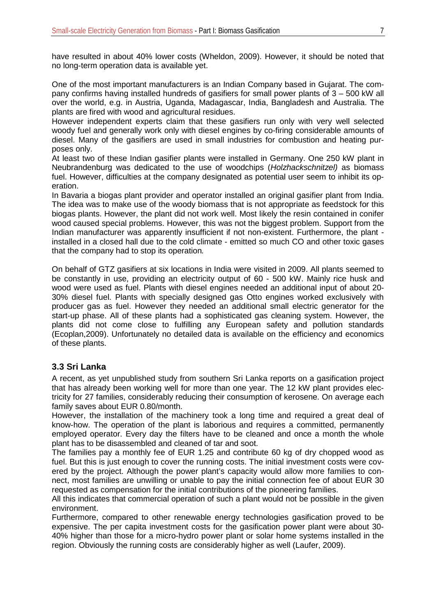have resulted in about 40% lower costs (Wheldon, 2009). However, it should be noted that no long-term operation data is available yet.

One of the most important manufacturers is an Indian Company based in Gujarat. The company confirms having installed hundreds of gasifiers for small power plants of 3 – 500 kW all over the world, e.g. in Austria, Uganda, Madagascar, India, Bangladesh and Australia. The plants are fired with wood and agricultural residues.

However independent experts claim that these gasifiers run only with very well selected woody fuel and generally work only with diesel engines by co-firing considerable amounts of diesel. Many of the gasifiers are used in small industries for combustion and heating purposes only.

At least two of these Indian gasifier plants were installed in Germany. One 250 kW plant in Neubrandenburg was dedicated to the use of woodchips (*Holzhackschnitzel)* as biomass fuel. However, difficulties at the company designated as potential user seem to inhibit its operation.

In Bavaria a biogas plant provider and operator installed an original gasifier plant from India. The idea was to make use of the woody biomass that is not appropriate as feedstock for this biogas plants. However, the plant did not work well. Most likely the resin contained in conifer wood caused special problems. However, this was not the biggest problem. Support from the Indian manufacturer was apparently insufficient if not non-existent. Furthermore, the plant installed in a closed hall due to the cold climate - emitted so much CO and other toxic gases that the company had to stop its operation*.*

On behalf of GTZ gasifiers at six locations in India were visited in 2009. All plants seemed to be constantly in use, providing an electricity output of 60 - 500 kW. Mainly rice husk and wood were used as fuel. Plants with diesel engines needed an additional input of about 20- 30% diesel fuel. Plants with specially designed gas Otto engines worked exclusively with producer gas as fuel. However they needed an additional small electric generator for the start-up phase. All of these plants had a sophisticated gas cleaning system. However, the plants did not come close to fulfilling any European safety and pollution standards (Ecoplan,2009). Unfortunately no detailed data is available on the efficiency and economics of these plants.

#### <span id="page-12-0"></span>**3.3 Sri Lanka**

A recent, as yet unpublished study from southern Sri Lanka reports on a gasification project that has already been working well for more than one year. The 12 kW plant provides electricity for 27 families, considerably reducing their consumption of kerosene. On average each family saves about EUR 0.80/month.

However, the installation of the machinery took a long time and required a great deal of know-how. The operation of the plant is laborious and requires a committed, permanently employed operator. Every day the filters have to be cleaned and once a month the whole plant has to be disassembled and cleaned of tar and soot.

The families pay a monthly fee of EUR 1.25 and contribute 60 kg of dry chopped wood as fuel. But this is just enough to cover the running costs. The initial investment costs were covered by the project. Although the power plant's capacity would allow more families to connect, most families are unwilling or unable to pay the initial connection fee of about EUR 30 requested as compensation for the initial contributions of the pioneering families.

All this indicates that commercial operation of such a plant would not be possible in the given environment.

Furthermore, compared to other renewable energy technologies gasification proved to be expensive. The per capita investment costs for the gasification power plant were about 30- 40% higher than those for a micro-hydro power plant or solar home systems installed in the region. Obviously the running costs are considerably higher as well (Laufer, 2009).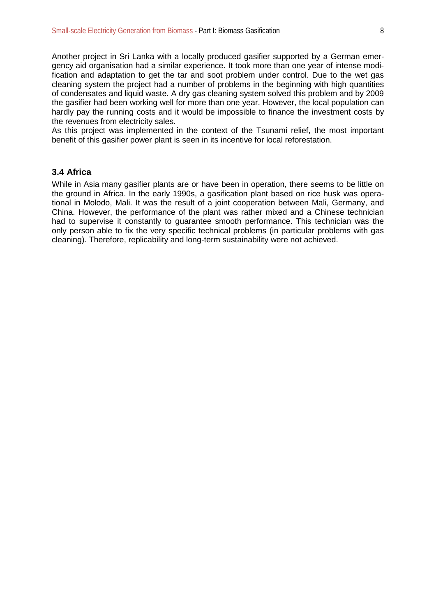Another project in Sri Lanka with a locally produced gasifier supported by a German emergency aid organisation had a similar experience. It took more than one year of intense modification and adaptation to get the tar and soot problem under control. Due to the wet gas cleaning system the project had a number of problems in the beginning with high quantities of condensates and liquid waste. A dry gas cleaning system solved this problem and by 2009 the gasifier had been working well for more than one year. However, the local population can hardly pay the running costs and it would be impossible to finance the investment costs by the revenues from electricity sales.

As this project was implemented in the context of the Tsunami relief, the most important benefit of this gasifier power plant is seen in its incentive for local reforestation.

#### <span id="page-13-0"></span>**3.4 Africa**

While in Asia many gasifier plants are or have been in operation, there seems to be little on the ground in Africa. In the early 1990s, a gasification plant based on rice husk was operational in Molodo, Mali. It was the result of a joint cooperation between Mali, Germany, and China. However, the performance of the plant was rather mixed and a Chinese technician had to supervise it constantly to guarantee smooth performance. This technician was the only person able to fix the very specific technical problems (in particular problems with gas cleaning). Therefore, replicability and long-term sustainability were not achieved.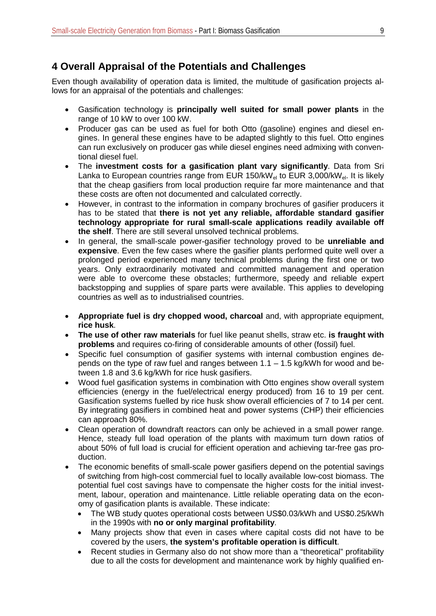## <span id="page-14-0"></span>**4 Overall Appraisal of the Potentials and Challenges**

Even though availability of operation data is limited, the multitude of gasification projects allows for an appraisal of the potentials and challenges:

- Gasification technology is **principally well suited for small power plants** in the range of 10 kW to over 100 kW.
- Producer gas can be used as fuel for both Otto (gasoline) engines and diesel engines. In general these engines have to be adapted slightly to this fuel. Otto engines can run exclusively on producer gas while diesel engines need admixing with conventional diesel fuel.
- The **investment costs for a gasification plant vary significantly**. Data from Sri Lanka to European countries range from EUR 150/kW $_{el}$  to EUR 3,000/kW $_{el}$ . It is likely that the cheap gasifiers from local production require far more maintenance and that these costs are often not documented and calculated correctly.
- However, in contrast to the information in company brochures of gasifier producers it has to be stated that **there is not yet any reliable, affordable standard gasifier technology appropriate for rural small-scale applications readily available off the shelf**. There are still several unsolved technical problems.
- In general, the small-scale power-gasifier technology proved to be **unreliable and expensive**. Even the few cases where the gasifier plants performed quite well over a prolonged period experienced many technical problems during the first one or two years. Only extraordinarily motivated and committed management and operation were able to overcome these obstacles; furthermore, speedy and reliable expert backstopping and supplies of spare parts were available. This applies to developing countries as well as to industrialised countries.
- **Appropriate fuel is dry chopped wood, charcoal** and, with appropriate equipment, **rice husk**.
- **The use of other raw materials** for fuel like peanut shells, straw etc. **is fraught with problems** and requires co-firing of considerable amounts of other (fossil) fuel.
- Specific fuel consumption of gasifier systems with internal combustion engines depends on the type of raw fuel and ranges between 1.1 – 1.5 kg/kWh for wood and between 1.8 and 3.6 kg/kWh for rice husk gasifiers.
- Wood fuel gasification systems in combination with Otto engines show overall system efficiencies (energy in the fuel/electrical energy produced) from 16 to 19 per cent. Gasification systems fuelled by rice husk show overall efficiencies of 7 to 14 per cent. By integrating gasifiers in combined heat and power systems (CHP) their efficiencies can approach 80%.
- Clean operation of downdraft reactors can only be achieved in a small power range. Hence, steady full load operation of the plants with maximum turn down ratios of about 50% of full load is crucial for efficient operation and achieving tar-free gas production.
- The economic benefits of small-scale power gasifiers depend on the potential savings of switching from high-cost commercial fuel to locally available low-cost biomass. The potential fuel cost savings have to compensate the higher costs for the initial investment, labour, operation and maintenance. Little reliable operating data on the economy of gasification plants is available. These indicate:
	- The WB study quotes operational costs between US\$0.03/kWh and US\$0.25/kWh in the 1990s with **no or only marginal profitability**.
	- Many projects show that even in cases where capital costs did not have to be covered by the users, **the system's profitable operation is difficult**.
	- Recent studies in Germany also do not show more than a "theoretical" profitability due to all the costs for development and maintenance work by highly qualified en-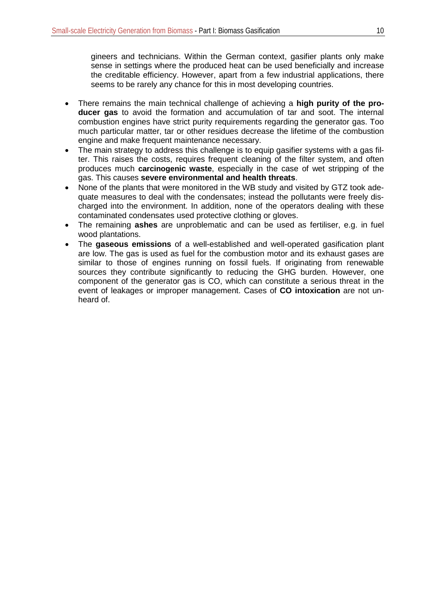gineers and technicians. Within the German context, gasifier plants only make sense in settings where the produced heat can be used beneficially and increase the creditable efficiency. However, apart from a few industrial applications, there seems to be rarely any chance for this in most developing countries.

- There remains the main technical challenge of achieving a **high purity of the producer gas** to avoid the formation and accumulation of tar and soot. The internal combustion engines have strict purity requirements regarding the generator gas. Too much particular matter, tar or other residues decrease the lifetime of the combustion engine and make frequent maintenance necessary.
- The main strategy to address this challenge is to equip gasifier systems with a gas filter. This raises the costs, requires frequent cleaning of the filter system, and often produces much **[carcinogeni](http://dict.leo.org/ende?lp=ende&p=thMx..&search=carcinogen)c waste**, especially in the case of wet stripping of the gas. This causes **severe environmental and health threats**.
- None of the plants that were monitored in the WB study and visited by GTZ took adequate measures to deal with the condensates; instead the pollutants were freely discharged into the environment. In addition, none of the operators dealing with these contaminated condensates used protective clothing or gloves.
- The remaining **ashes** are unproblematic and can be used as fertiliser, e.g. in fuel wood plantations.
- The **gaseous emissions** of a well-established and well-operated gasification plant are low. The gas is used as fuel for the combustion motor and its exhaust gases are similar to those of engines running on fossil fuels. If originating from renewable sources they contribute significantly to reducing the GHG burden. However, one component of the generator gas is CO, which can constitute a serious threat in the event of leakages or improper management. Cases of **CO intoxication** are not unheard of.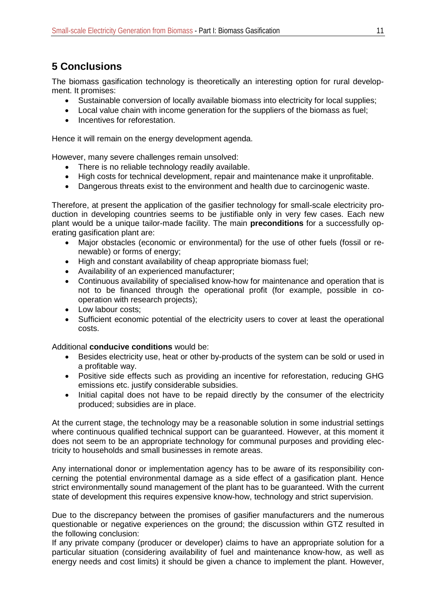## <span id="page-16-0"></span>**5 Conclusions**

The biomass gasification technology is theoretically an interesting option for rural development. It promises:

- Sustainable conversion of locally available biomass into electricity for local supplies;
- Local value chain with income generation for the suppliers of the biomass as fuel;
- Incentives for reforestation.

Hence it will remain on the energy development agenda.

However, many severe challenges remain unsolved:

- There is no reliable technology readily available.
- High costs for technical development, repair and maintenance make it unprofitable.
- Dangerous threats exist to the environment and health due to carcinogenic waste.

Therefore, at present the application of the gasifier technology for small-scale electricity production in developing countries seems to be justifiable only in very few cases. Each new plant would be a unique tailor-made facility. The main **preconditions** for a successfully operating gasification plant are:

- Major obstacles (economic or environmental) for the use of other fuels (fossil or renewable) or forms of energy;
- High and constant availability of cheap appropriate biomass fuel;
- Availability of an experienced manufacturer;
- Continuous availability of specialised know-how for maintenance and operation that is not to be financed through the operational profit (for example, possible in cooperation with research projects);
- Low labour costs:
- Sufficient economic potential of the electricity users to cover at least the operational costs.

Additional **conducive conditions** would be:

- Besides electricity use, heat or other by-products of the system can be sold or used in a profitable way.
- Positive side effects such as providing an incentive for reforestation, reducing GHG emissions etc. justify considerable subsidies.
- Initial capital does not have to be repaid directly by the consumer of the electricity produced; subsidies are in place.

At the current stage, the technology may be a reasonable solution in some industrial settings where continuous qualified technical support can be guaranteed. However, at this moment it does not seem to be an appropriate technology for communal purposes and providing electricity to households and small businesses in remote areas.

Any international donor or implementation agency has to be aware of its responsibility concerning the potential environmental damage as a side effect of a gasification plant. Hence strict environmentally sound management of the plant has to be guaranteed. With the current state of development this requires expensive know-how, technology and strict supervision.

Due to the discrepancy between the promises of gasifier manufacturers and the numerous questionable or negative experiences on the ground; the discussion within GTZ resulted in the following conclusion:

If any private company (producer or developer) claims to have an appropriate solution for a particular situation (considering availability of fuel and maintenance know-how, as well as energy needs and cost limits) it should be given a chance to implement the plant. However,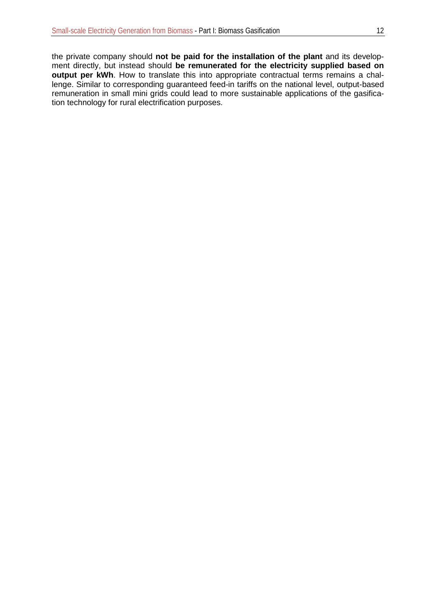the private company should **not be paid for the installation of the plant** and its development directly, but instead should **be remunerated for the electricity supplied based on output per kWh**. How to translate this into appropriate contractual terms remains a challenge. Similar to corresponding guaranteed feed-in tariffs on the national level, output-based remuneration in small mini grids could lead to more sustainable applications of the gasification technology for rural electrification purposes.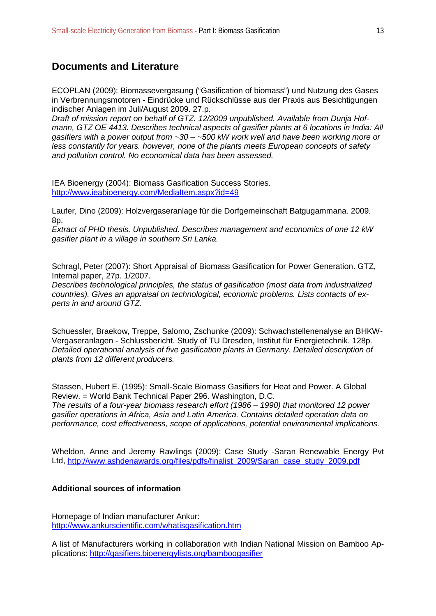#### <span id="page-18-0"></span>**Documents and Literature**

ECOPLAN (2009): Biomassevergasung ("Gasification of biomass") und Nutzung des Gases in Verbrennungsmotoren - Eindrücke und Rückschlüsse aus der Praxis aus Besichtigungen indischer Anlagen im Juli/August 2009. 27.p.

*Draft of mission report on behalf of GTZ. 12/2009 unpublished. Available from Dunja Hofmann, GTZ OE 4413. Describes technical aspects of gasifier plants at 6 locations in India: All gasifiers with a power output from ~30 – ~500 kW work well and have been working more or less constantly for years. however, none of the plants meets European concepts of safety and pollution control. No economical data has been assessed.*

IEA Bioenergy (2004): Biomass Gasification Success Stories. <http://www.ieabioenergy.com/MediaItem.aspx?id=49>

Laufer, Dino (2009): Holzvergaseranlage für die Dorfgemeinschaft Batgugammana. 2009. 8p.

*Extract of PHD thesis. Unpublished. Describes management and economics of one 12 kW gasifier plant in a village in southern Sri Lanka.*

Schragl, Peter (2007): Short Appraisal of Biomass Gasification for Power Generation. GTZ, Internal paper, 27p. 1/2007.

*Describes technological principles, the status of gasification (most data from industrialized countries). Gives an appraisal on technological, economic problems. Lists contacts of experts in and around GTZ.*

Schuessler, Braekow, Treppe, Salomo, Zschunke (2009): Schwachstellenenalyse an BHKW-Vergaseranlagen - Schlussbericht. Study of TU Dresden, Institut für Energietechnik. 128p. *Detailed operational analysis of five gasification plants in Germany. Detailed description of plants from 12 different producers.*

Stassen, Hubert E. (1995): Small-Scale Biomass Gasifiers for Heat and Power. A Global Review. = World Bank Technical Paper 296. Washington, D.C. *The results of a four-year biomass research effort (1986 – 1990) that monitored 12 power gasifier operations in Africa, Asia and Latin America. Contains detailed operation data on performance, cost effectiveness, scope of applications, potential environmental implications.*

Wheldon, Anne and Jeremy Rawlings (2009): Case Study -Saran Renewable Energy Pvt Ltd, [http://www.ashdenawards.org/files/pdfs/finalist\\_2009/Saran\\_case\\_study\\_2009.pdf](http://www.ashdenawards.org/files/pdfs/finalist_2009/Saran_case_study_2009.pdf)

#### **Additional sources of information**

Homepage of Indian manufacturer Ankur: <http://www.ankurscientific.com/whatisgasification.htm>

A list of Manufacturers working in collaboration with Indian National Mission on Bamboo Applications:<http://gasifiers.bioenergylists.org/bamboogasifier>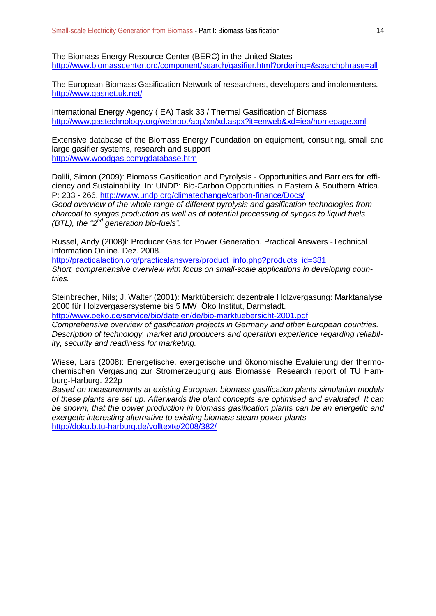The Biomass Energy Resource Center (BERC) in the United States <http://www.biomasscenter.org/component/search/gasifier.html?ordering=&searchphrase=all>

The European Biomass Gasification Network of researchers, developers and implementers. <http://www.gasnet.uk.net/>

International Energy Agency (IEA) Task 33 / Thermal Gasification of Biomass <http://www.gastechnology.org/webroot/app/xn/xd.aspx?it=enweb&xd=iea/homepage.xml>

Extensive database of the Biomass Energy Foundation on equipment, consulting, small and large gasifier systems, research and support <http://www.woodgas.com/gdatabase.htm>

Dalili, Simon (2009): Biomass Gasification and Pyrolysis - Opportunities and Barriers for efficiency and Sustainability. In: UNDP: Bio-Carbon Opportunities in Eastern & Southern Africa. P: 233 - 266. [http://www.undp.org/climatechange/carbon-finance/Docs/](http://www.undp.org/climatechange/carbon-finance/Docs/Bio-carbon%20in%20Africa%20-%20harnessing%20carbon%20finance%20for%20forestry%20and%20bio-energy.pdf) *Good overview of the whole range of different pyrolysis and gasification technologies from charcoal to syngas production as well as of potential processing of syngas to liquid fuels (BTL), the "2nd generation bio-fuels".*

Russel, Andy (2008)l: Producer Gas for Power Generation. Practical Answers -Technical Information Online. Dez. 2008.

[http://practicalaction.org/practicalanswers/product\\_info.php?products\\_id=381](http://practicalaction.org/practicalanswers/product_info.php?products_id=381) *Short, comprehensive overview with focus on small-scale applications in developing countries.*

Steinbrecher, Nils; J. Walter (2001): Marktübersicht dezentrale Holzvergasung: Marktanalyse 2000 für Holzvergasersysteme bis 5 MW. Öko Institut, Darmstadt.

<http://www.oeko.de/service/bio/dateien/de/bio-marktuebersicht-2001.pdf>

*Comprehensive overview of gasification projects in Germany and other European countries. Description of technology, market and producers and operation experience regarding reliability, security and readiness for marketing.*

Wiese, Lars (2008): Energetische, exergetische und ökonomische Evaluierung der thermochemischen Vergasung zur Stromerzeugung aus Biomasse. Research report of TU Hamburg-Harburg. 222p

*Based on measurements at existing European biomass gasification plants simulation models of these plants are set up. Afterwards the plant concepts are optimised and evaluated. It can be shown, that the power production in biomass gasification plants can be an energetic and exergetic interesting alternative to existing biomass steam power plants.* <http://doku.b.tu-harburg.de/volltexte/2008/382/>